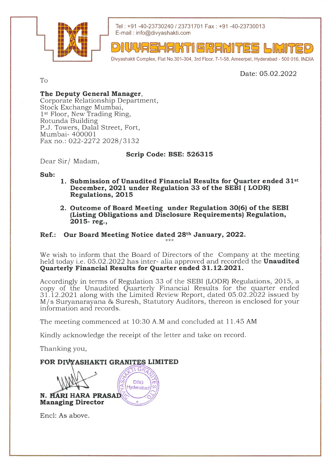

Tel : +91 -40-23730240 123731701 Fax: +91 -40-23730013 E-mail : info@divyashakti.com

VYASHAKTI GRANITE Divyashakti Complex, Flat No.301-304, 3rd Floor, 7-1-58, Ameerpet, Hyderabad - 500 016. INDIA

Date: 05.02.2022

To

## The Deputy General Manager,

Corporate Relationship Department, Stock Exchange Mumbai, 1<sup>st</sup> Floor, New Trading Ring, Rotunda Building P.J. Towers, Dalal Street, Fort, Mumbai- 400001 Fax no.: 022-2272 2028/3132

## Scrip Code: BSE: 526315

Dear Sir/ Madam,

Sub:

- 1. Submission of Unaudited Financial Results for Quarter ended 31st December, 2021 under Regulation 33 of the SEBI (LODR) Regulations, 2015
- 2. Outcome of Board Meeting under Regulation 30(6) of the SEBI (Listing Obligations and Disclosure Requirements) Regulation, 2o15- reg.,

## Ref.: Our Board Meeting Notice dated 28th January, 2022.  $++$

We wish to inform that the Board of Directors of the Company at the meeting held today i.e. 05.02.2022 has inter- alia approved and recorded the **Unaudited** Quarterly Financial Results for Quarter ended 31.12.2O2L.

Accordingly in terms of Regulation 33 of the SEBI (LODR) Regulations,2015, a copy of the Unaudited Quarterly Financial Results for the quarter ended 31.12.2021 along with the Limited Review Report, dated 05.02.2022 issued by M/s Suryanarayana & Suresh, Statutory Auditors, thereon is enclosed for your information and records.

The meeting commenced at 10:30 A.M and concluded at 11.45 AM

Kindly acknowledge the receipt of the letter and take on record.

Thanking you,

## FOR DIVYASHAKTI GRANITES LIMITED

**DSG** Hyderabad **N. HARI HARA PRASAD** Managing Director

Encl: As above.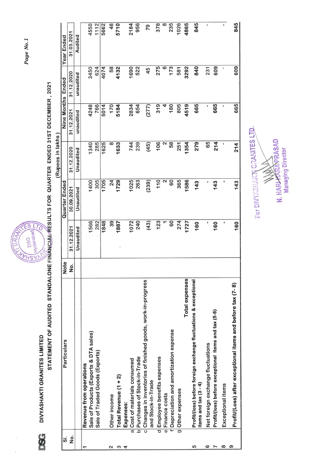DIVYASHAKTI GRANITES LIMITED

**SSG** 

í.



STATEMENT OF AUDITED STANDALONE FINANCIAL RESULTS FOR QUARTER ENDED 31ST DECEMBER, 2021

|                    |                                                                                           |                    |            |                | (Rupees in lakhs |                   |            |               |
|--------------------|-------------------------------------------------------------------------------------------|--------------------|------------|----------------|------------------|-------------------|------------|---------------|
| <u>.</u>           | Particulars                                                                               | <b>Note</b>        |            | Quarter Ended  |                  | Nine Months Ended |            | Year Ended    |
| $\dot{\mathbf{z}}$ |                                                                                           | $\dot{\mathbf{z}}$ | 31.12.2021 | 30.09.2021     | 31.12.2020       | 31.12.2021        | 31.12.2020 | 31.03.2021    |
|                    |                                                                                           |                    | Unaudited  | Unaudited      | Unaudited        | unaudited         | unaudited  | Audited       |
|                    | Revenue from operations                                                                   |                    |            |                |                  |                   |            |               |
|                    | Sale of Products (Exports & DTA sales)                                                    |                    | 1566       | 1400           | 1340             | 4248              | 3450       | 4550          |
|                    | Sale of Traded Goods (Exports)                                                            |                    | 282        | 305            | 285              | 766               | 624        | 1112          |
|                    |                                                                                           |                    | 1848       | 1705           | 1625             | 5014              | 4074       | 5662          |
| ∾                  | Other income                                                                              |                    | 39         | $\overline{2}$ | ∞                | 170               | 58         | $\frac{8}{3}$ |
| S                  | Total Revenue (1 + 2)                                                                     |                    | 1887       | 1729           | 1633             | 5184              | 4132       | 5710          |
| 4                  | Expenses:                                                                                 |                    |            |                |                  |                   |            |               |
|                    | a Cost of materials consumed                                                              |                    | 1072       | 1025           | 744              | 2834              | 1690       | 2184          |
|                    | b Purchases of Stock-in-Trade                                                             |                    | 240        | 263            | 239              | 654               | 522        | 956           |
|                    | c Changes in inventories of finished goods, work-in-progress<br>and Stock-in-Trade        |                    | (43)       | (239)          | (45)             | (277)             | 45         | 79            |
|                    | d Employee benefits expenses                                                              |                    | 123        | 110            | 106              | 319               | 275        | 378           |
|                    | e Finance costs                                                                           |                    |            | ∾              | 2                | 4                 |            | $\infty$      |
|                    | f Depreciation and amortization expense                                                   |                    | 60         | 60             | 58               | 180               | 173        | 235           |
|                    | g Other expenses                                                                          |                    | 274        | 365            | 251              | 805               | 581        | 1026          |
|                    | <b>Total expenses</b>                                                                     |                    | 1727       | 1586           | 1354             | 4519              | 3292       | 4865          |
| မာ                 | Profit/(loss) before foreign exchange fluctuations & exceptional<br>items and tax (3 - 4) |                    | 160        | 143            | 279              | 665               | 840        | 845           |
| ဖ                  | Net foreign exchange fluctuations                                                         |                    |            | ı              | 65               | t                 | 231        | ı             |
|                    | Profit/(loss) before exceptional items and tax (5-6)                                      |                    | 160        | 143            | 214              | 665               | 609        |               |
| $\infty$           | Exceptional items                                                                         |                    | ¢          |                | ı                | ı                 | ı          | ı             |
| စ                  | Profit/(Loss) after exceptional items and before tax (7-8)                                |                    | 160        | 143            | 214              | 665               | 609        | 845           |

For DIVYABILACTY GRANITES LTD. N. HARLHARRAPRASAD Managing Director

Page No.1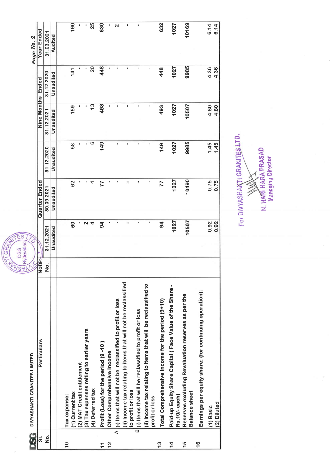| ts<br>D                 | DIVYASHAKTI GRANITES LIMITED                                                         | RAY                     | S<br>Ε<br>$\bar{r}_O$<br>Hyderabad<br><b>DSG</b> |               |                |               |                      | Page No. 2 |
|-------------------------|--------------------------------------------------------------------------------------|-------------------------|--------------------------------------------------|---------------|----------------|---------------|----------------------|------------|
| $\vec{5}$               | Particulars                                                                          | Note                    |                                                  | Quarter Ended |                | Nine Months   | Ended                | Year Ended |
| $\frac{1}{2}$           |                                                                                      | $\dot{\mathbf{o}}$<br>Ź | 31.12.2021                                       | 30.09.2021    | 31.12.2020     | 31.12.2021    | 31.12.2020           | 31.03.2021 |
|                         |                                                                                      |                         | Unaudited                                        | Unaudited     | Unaudited      | Unaudited     | Unaudited            | Audited    |
|                         |                                                                                      |                         |                                                  |               |                |               |                      |            |
| 0                       | Tax expense:                                                                         |                         |                                                  |               |                |               |                      |            |
|                         | (1) Current tax                                                                      |                         | 60                                               | 62            | 58             | 159           | 141                  | 190        |
|                         | (2) MAT Credit entitlement                                                           |                         |                                                  |               |                |               |                      |            |
|                         | (3) Tax expenses relting to earlier years                                            |                         | $\mathbf{z}$                                     |               |                |               |                      |            |
|                         | (4) Deferred tax                                                                     |                         | $\overline{\mathcal{A}}$                         | 4             | ဖ              | $\frac{3}{5}$ | $\overline{c}$       | 25         |
| ↽                       | Profit (Loss) for the period (9-10)                                                  |                         | $\frac{4}{5}$                                    | 77            | 149            | 493           | 448                  | 630        |
| N                       | Other Comprehensive Income                                                           |                         |                                                  |               |                | t             |                      |            |
| $\overline{\mathbf{A}}$ | (i) Items that will not be reclassified to profit or loss                            |                         | ۱                                                | ï             | $\mathbf{I}$   |               |                      | 2          |
|                         | (ii) Income tax relating to items that will not be reclassified<br>to profit or loss |                         | ı                                                | I.            | I.             | ٠             | ı                    |            |
|                         | B (i) Items that will be reclassified to profit or loss                              |                         |                                                  | ı             | ï              |               | f,                   |            |
|                         | (ii) Income tax relating to items that will be reclassified to<br>profit or loss     |                         |                                                  | ı             | $\blacksquare$ |               | $\pmb{\mathfrak{g}}$ | ٠          |
| S                       | Total Comprehensive Income for the period (9+10)                                     |                         | $\boldsymbol{z}$                                 | 77            | 149            | 493           | 448                  | 632        |
| $\overline{4}$          | Paid-up Equity Share Capital (Face Value of the Share-<br>Rs.10/-each)               |                         | 1027                                             | 1027          | 1027           | 1027          | 1027                 | 1027       |
| $\overline{5}$          | Reserves excluding Revaluation reserves as per the<br><b>Balance sheet</b>           |                         | 10507                                            | 10490         | 9985           | 10507         | 9985                 | 10169      |
| $\frac{6}{1}$           | Earnings per equity share: (for continuing operation):                               |                         |                                                  |               |                |               |                      |            |
|                         | (1) Basic                                                                            |                         | 0.92                                             | 0.75<br>0.75  | 1.45           | 4.80          | 4.36                 | 6.14       |
|                         | (2) Diluted                                                                          |                         | 0.92                                             |               | 1.45           | 4.80          | 4.36                 | 6.14       |

GRA

N. HARI HARA PRASAD<br>Managing Director **SERVINGS** 

For DIVYASHAKTI GRANITES LTD.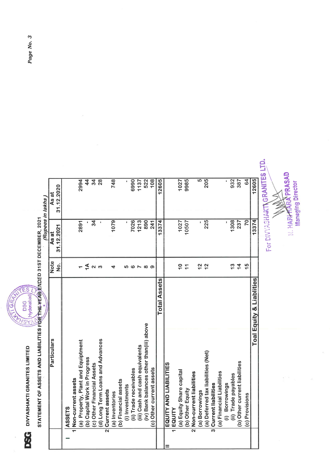**DSG** DIVYASHAKTI GRANITES LIMITED



| STATEMENT OF ASSETS AND LIABILITIES FOR THE YEAR ENDED 31ST DECEMBER, 2021 |                       | (Rupees in lakhs)   |                     |  |
|----------------------------------------------------------------------------|-----------------------|---------------------|---------------------|--|
| Particulars                                                                | Note<br><u>ہ</u><br>2 | 31.12.2021<br>As at | 31.12.2020<br>As at |  |
| ASSETS                                                                     |                       |                     |                     |  |
| Non-current assets                                                         |                       |                     |                     |  |
| (a) Property, Plant and Equiptment                                         |                       | 2891                | 2994                |  |
| (b) Capital Work in Progress                                               | $\overline{4}$        |                     | $\overline{4}$      |  |
| (c) Other Financial Assets                                                 | $\sim$ $\infty$       | $\overline{34}$     | $\overline{34}$     |  |
| (d) Long Term Loans and Advances                                           |                       |                     | $\overline{28}$     |  |
| 2 Current assets                                                           |                       |                     |                     |  |
| (a) Inventories                                                            | 4                     | 1079                | 748                 |  |
| (b) Financial assets                                                       |                       |                     |                     |  |
| (i) Investments                                                            | ဖာ                    |                     |                     |  |
| (ii) Trade receivables                                                     | ဖ                     | 7026                | 6990                |  |
| (iii) Cash and cash equivalents                                            |                       | 1213                | 1137                |  |
| (iv) Bank balances other than(iii) above                                   | $\infty$              | 890                 | 522                 |  |
| (c) Other current assets                                                   | စ                     | 241                 | 108                 |  |
| <b>Total Assets</b>                                                        |                       | 13374               | 12605               |  |
| EQUITY AND LIABILITIES                                                     |                       |                     |                     |  |
| EQUITY                                                                     |                       |                     |                     |  |
| (a) Equity Share capital                                                   | $\frac{1}{1}$         | 1027                | 1027                |  |
| (b) Other Equity                                                           | $\overline{1}$        | 10507               | 9985                |  |
| 2 Non-current liabilities                                                  |                       |                     |                     |  |
| (a) Borrowings                                                             | $\frac{2}{3}$         |                     | ပ                   |  |
| (a) Deferred tax liabilities (Net)                                         | $\frac{2}{3}$         | 225                 | 205                 |  |
| 3 Current liabilities                                                      |                       |                     |                     |  |
| (a) Financial Liabilities                                                  |                       |                     |                     |  |
| (i) Borrowings                                                             |                       |                     | I.                  |  |
| (ii) Trade payables                                                        | $\frac{3}{5}$         | 1308                | 932                 |  |
| (b) Other current liabilities                                              | $\frac{4}{1}$         | 237                 | 387                 |  |
| (c) Provisions                                                             | $\frac{5}{1}$         | $\overline{5}$      | 64                  |  |
| <b>Toal Equity &amp; Liablities</b>                                        |                       | 13374               | 12605               |  |

For DIVYASHAICT GRANITES LTD.

**ELARITARA PRASAD**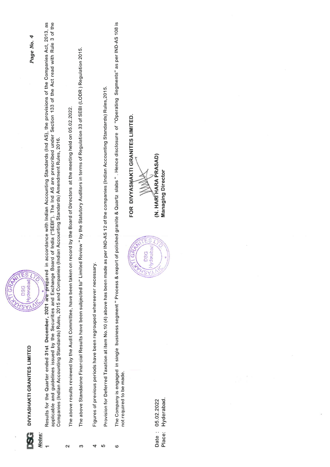| applicable and guidelines issued by the Securities and Exchange Board of India ("SEBI"). The Ind AS are prescribed under Section 133 of the Act read with Rule 3 of the<br>accordance with Indian Accounting Standards (Ind AS), the provisions of the Companies Act, 2013, as<br>4<br>Page No.<br>Companies (Indian Accounting Standards) Rules, 2015 and Companies (Indian Accounting Standards) Amendment Rules, 2016.<br>S<br>RAW<br><b>Hyderabad</b><br><b>DSG</b><br><b>SA</b> | record by the Board of Directors at the meeting held on 05.02.2022.   | The above Standalone Financial Results have been subjected to" Limited Review " by the Statutory Auditors in terms of Regulation 33 of SEBI (LODR) Regulation 2015. | as per IND-AS 12 of the companies (Indian Accounting Standards) Rules, 2015.                                                                   | The Company is engaged in single business segment "Process & export of polished granite & Quartz slabs ". Hence disclosure of "Operating Segments" as per IND-AS 108 is<br>FOR DIVYASHAKTI GRANITES LIMITED.<br>(N. HARITHARA PRASAD)<br><b>Managing Director</b><br>S<br>derabad<br><b>DSG</b><br>Í |  |
|--------------------------------------------------------------------------------------------------------------------------------------------------------------------------------------------------------------------------------------------------------------------------------------------------------------------------------------------------------------------------------------------------------------------------------------------------------------------------------------|-----------------------------------------------------------------------|---------------------------------------------------------------------------------------------------------------------------------------------------------------------|------------------------------------------------------------------------------------------------------------------------------------------------|------------------------------------------------------------------------------------------------------------------------------------------------------------------------------------------------------------------------------------------------------------------------------------------------------|--|
| Results for the Quarter ended 31st December, 2021 are prepared in<br>DIVYASHAKTI GRANITES LIMITED                                                                                                                                                                                                                                                                                                                                                                                    | The above results reviewed by the Audit Committee, have been taken on |                                                                                                                                                                     | Provision for Deferred Taxation at item No.10 (4) above has been made a<br>Figures of previous periods have been regrouped whereever necessary | not required to be made.<br>Hyderabad.<br>05.02.2022<br>Date:<br>Place:                                                                                                                                                                                                                              |  |
| Notes:                                                                                                                                                                                                                                                                                                                                                                                                                                                                               | $\sim$                                                                | 3                                                                                                                                                                   | 5<br>4                                                                                                                                         | 6                                                                                                                                                                                                                                                                                                    |  |

 $\epsilon$